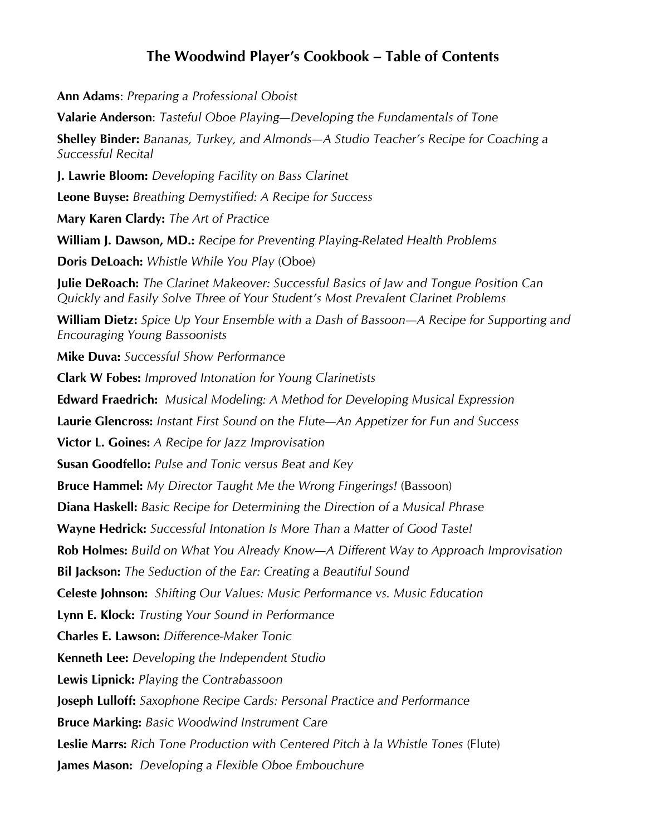## **The Woodwind Player's Cookbook – Table of Contents**

**Ann Adams**: *Preparing a Professional Oboist* **Valarie Anderson**: *Tasteful Oboe Playing—Developing the Fundamentals of Tone* **Shelley Binder:** *Bananas, Turkey, and Almonds—A Studio Teacher's Recipe for Coaching a Successful Recital* **J. Lawrie Bloom:** *Developing Facility on Bass Clarinet* **Leone Buyse:** *Breathing Demystified: A Recipe for Success* **Mary Karen Clardy:** *The Art of Practice* **William J. Dawson, MD.:** *Recipe for Preventing Playing-Related Health Problems* **Doris DeLoach:** *Whistle While You Play* (Oboe) **Julie DeRoach:** *The Clarinet Makeover: Successful Basics of Jaw and Tongue Position Can Quickly and Easily Solve Three of Your Student's Most Prevalent Clarinet Problems* **William Dietz:** *Spice Up Your Ensemble with a Dash of Bassoon—A Recipe for Supporting and Encouraging Young Bassoonists* **Mike Duva:** *Successful Show Performance* **Clark W Fobes:** *Improved Intonation for Young Clarinetists* **Edward Fraedrich:** *Musical Modeling: A Method for Developing Musical Expression* **Laurie Glencross:** *Instant First Sound on the Flute—An Appetizer for Fun and Success* **Victor L. Goines:** *A Recipe for Jazz Improvisation* **Susan Goodfello:** *Pulse and Tonic versus Beat and Key* **Bruce Hammel:** *My Director Taught Me the Wrong Fingerings!* (Bassoon) **Diana Haskell:** *Basic Recipe for Determining the Direction of a Musical Phrase* **Wayne Hedrick:** *Successful Intonation Is More Than a Matter of Good Taste!* **Rob Holmes:** *Build on What You Already Know—A Different Way to Approach Improvisation* **Bil Jackson:** *The Seduction of the Ear: Creating a Beautiful Sound* **Celeste Johnson:** *Shifting Our Values: Music Performance vs. Music Education* **Lynn E. Klock:** *Trusting Your Sound in Performance* **Charles E. Lawson:** *Difference-Maker Tonic* **Kenneth Lee:** *Developing the Independent Studio* **Lewis Lipnick:** *Playing the Contrabassoon* **Joseph Lulloff:** *Saxophone Recipe Cards: Personal Practice and Performance* **Bruce Marking:** *Basic Woodwind Instrument Care* **Leslie Marrs:** *Rich Tone Production with Centered Pitch à la Whistle Tones* (Flute) **James Mason:** *Developing a Flexible Oboe Embouchure*